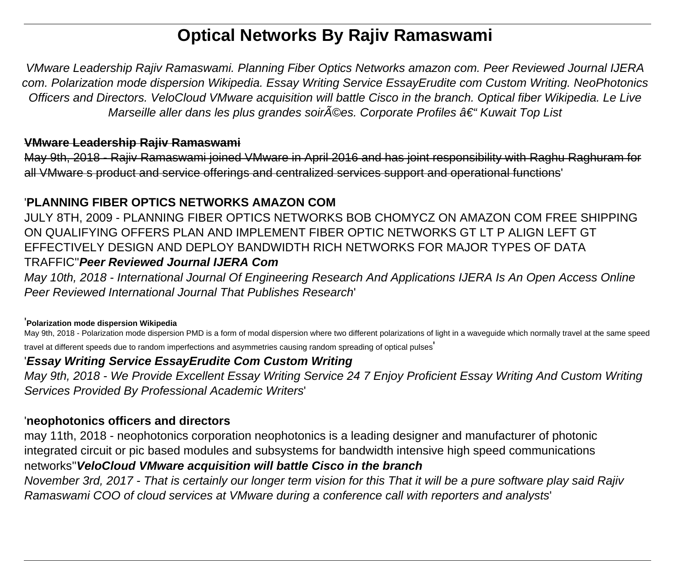# **Optical Networks By Rajiv Ramaswami**

VMware Leadership Rajiv Ramaswami. Planning Fiber Optics Networks amazon com. Peer Reviewed Journal IJERA com. Polarization mode dispersion Wikipedia. Essay Writing Service EssayErudite com Custom Writing. NeoPhotonics Officers and Directors. VeloCloud VMware acquisition will battle Cisco in the branch. Optical fiber Wikipedia. Le Live Marseille aller dans les plus grandes soir $\tilde{A}$ ©es. Corporate Profiles †"Kuwait Top List

## **VMware Leadership Rajiv Ramaswami**

May 9th, 2018 - Rajiv Ramaswami joined VMware in April 2016 and has joint responsibility with Raghu Raghuram for all VMware s product and service offerings and centralized services support and operational functions'

## '**PLANNING FIBER OPTICS NETWORKS AMAZON COM**

JULY 8TH, 2009 - PLANNING FIBER OPTICS NETWORKS BOB CHOMYCZ ON AMAZON COM FREE SHIPPING ON QUALIFYING OFFERS PLAN AND IMPLEMENT FIBER OPTIC NETWORKS GT LT P ALIGN LEFT GT EFFECTIVELY DESIGN AND DEPLOY BANDWIDTH RICH NETWORKS FOR MAJOR TYPES OF DATA TRAFFIC''**Peer Reviewed Journal IJERA Com**

May 10th, 2018 - International Journal Of Engineering Research And Applications IJERA Is An Open Access Online Peer Reviewed International Journal That Publishes Research'

### '**Polarization mode dispersion Wikipedia**

May 9th, 2018 - Polarization mode dispersion PMD is a form of modal dispersion where two different polarizations of light in a waveguide which normally travel at the same speed travel at different speeds due to random imperfections and asymmetries causing random spreading of optical pulses'

## '**Essay Writing Service EssayErudite Com Custom Writing**

May 9th, 2018 - We Provide Excellent Essay Writing Service 24 7 Enjoy Proficient Essay Writing And Custom Writing Services Provided By Professional Academic Writers'

## '**neophotonics officers and directors**

may 11th, 2018 - neophotonics corporation neophotonics is a leading designer and manufacturer of photonic integrated circuit or pic based modules and subsystems for bandwidth intensive high speed communications networks''**VeloCloud VMware acquisition will battle Cisco in the branch**

November 3rd, 2017 - That is certainly our longer term vision for this That it will be a pure software play said Rajiv Ramaswami COO of cloud services at VMware during a conference call with reporters and analysts'